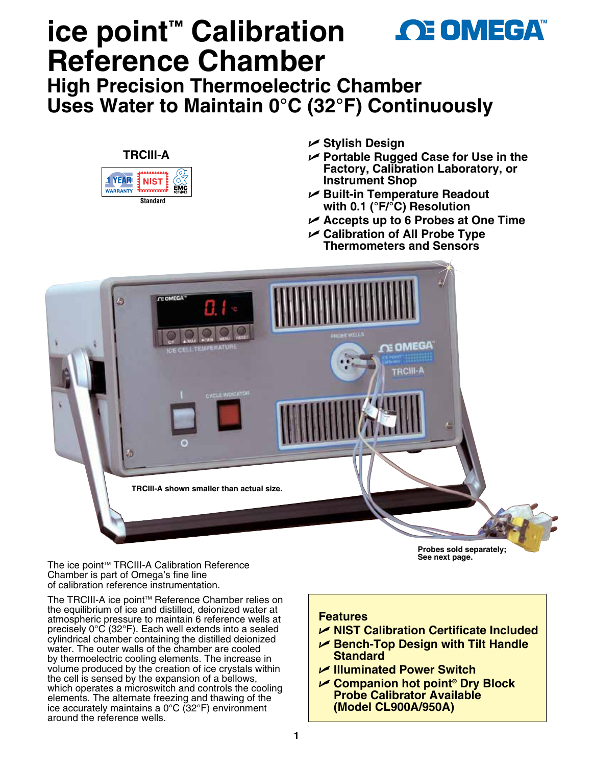# **ice point™ Calibration AE OMEGA™ Reference Chamber**

**High Precision Thermoelectric Chamber Uses Water to Maintain 0°C (32°F) Continuously**



The ice point<sup>™</sup> TRCIII-A Calibration Reference Chamber is part of Omega's fine line of calibration reference instrumentation.

The TRCIII-A ice point™ Reference Chamber relies on the equilibrium of ice and distilled, deionized water at atmospheric pressure to maintain 6 reference wells at precisely 0°C (32°F). Each well extends into a sealed cylindrical chamber containing the distilled deionized water. The outer walls of the chamber are cooled by thermoelectric cooling elements. The increase in volume produced by the creation of ice crystals within the cell is sensed by the expansion of a bellows, which operates a microswitch and controls the cooling elements. The alternate freezing and thawing of the ice accurately maintains a 0°C (32°F) environment around the reference wells.

**Features**

U **NIST Calibration Certificate Included**

**Probes sold separately; See next page.**

- U **Bench-Top Design with Tilt Handle Standard**
- U **Illuminated Power Switch**
- U **Companion hot point® Dry Block Probe Calibrator Available (Model CL900A/950A)**